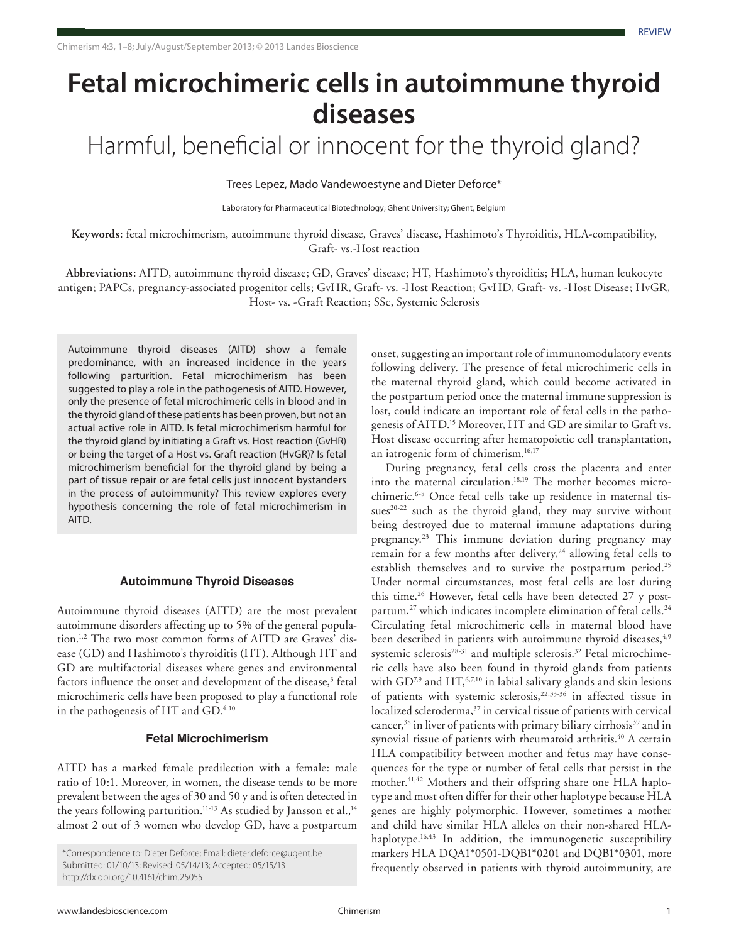# **Fetal microchimeric cells in autoimmune thyroid diseases**

Harmful, beneficial or innocent for the thyroid gland?

Trees Lepez, Mado Vandewoestyne and Dieter Deforce\*

Laboratory for Pharmaceutical Biotechnology; Ghent University; Ghent, Belgium

**Keywords:** fetal microchimerism, autoimmune thyroid disease, Graves' disease, Hashimoto's Thyroiditis, HLA-compatibility, Graft- vs.-Host reaction

**Abbreviations:** AITD, autoimmune thyroid disease; GD, Graves' disease; HT, Hashimoto's thyroiditis; HLA, human leukocyte antigen; PAPCs, pregnancy-associated progenitor cells; GvHR, Graft- vs. -Host Reaction; GvHD, Graft- vs. -Host Disease; HvGR, Host- vs. -Graft Reaction; SSc, Systemic Sclerosis

Autoimmune thyroid diseases (AITD) show a female predominance, with an increased incidence in the years following parturition. Fetal microchimerism has been suggested to play a role in the pathogenesis of AITD. However, only the presence of fetal microchimeric cells in blood and in the thyroid gland of these patients has been proven, but not an actual active role in AITD. Is fetal microchimerism harmful for the thyroid gland by initiating a Graft vs. Host reaction (GvHR) or being the target of a Host vs. Graft reaction (HvGR)? Is fetal microchimerism beneficial for the thyroid gland by being a part of tissue repair or are fetal cells just innocent bystanders in the process of autoimmunity? This review explores every hypothesis concerning the role of fetal microchimerism in AITD.

## **Autoimmune Thyroid Diseases**

Autoimmune thyroid diseases (AITD) are the most prevalent autoimmune disorders affecting up to 5% of the general population.1,2 The two most common forms of AITD are Graves' disease (GD) and Hashimoto's thyroiditis (HT). Although HT and GD are multifactorial diseases where genes and environmental factors influence the onset and development of the disease,<sup>3</sup> fetal microchimeric cells have been proposed to play a functional role in the pathogenesis of HT and GD.<sup>4-10</sup>

# **Fetal Microchimerism**

AITD has a marked female predilection with a female: male ratio of 10:1. Moreover, in women, the disease tends to be more prevalent between the ages of 30 and 50 y and is often detected in the years following parturition.<sup>11-13</sup> As studied by Jansson et al.,<sup>14</sup> almost 2 out of 3 women who develop GD, have a postpartum

onset, suggesting an important role of immunomodulatory events following delivery. The presence of fetal microchimeric cells in the maternal thyroid gland, which could become activated in the postpartum period once the maternal immune suppression is lost, could indicate an important role of fetal cells in the pathogenesis of AITD.15 Moreover, HT and GD are similar to Graft vs. Host disease occurring after hematopoietic cell transplantation, an iatrogenic form of chimerism.16,17

During pregnancy, fetal cells cross the placenta and enter into the maternal circulation.<sup>18,19</sup> The mother becomes microchimeric.6-8 Once fetal cells take up residence in maternal tissues<sup>20-22</sup> such as the thyroid gland, they may survive without being destroyed due to maternal immune adaptations during pregnancy.23 This immune deviation during pregnancy may remain for a few months after delivery,<sup>24</sup> allowing fetal cells to establish themselves and to survive the postpartum period.<sup>25</sup> Under normal circumstances, most fetal cells are lost during this time.<sup>26</sup> However, fetal cells have been detected 27 y postpartum,<sup>27</sup> which indicates incomplete elimination of fetal cells.<sup>24</sup> Circulating fetal microchimeric cells in maternal blood have been described in patients with autoimmune thyroid diseases,<sup>4,9</sup> systemic sclerosis<sup>28-31</sup> and multiple sclerosis.<sup>32</sup> Fetal microchimeric cells have also been found in thyroid glands from patients with  $GD^{7,9}$  and  $HT,$ <sup>6,7,10</sup> in labial salivary glands and skin lesions of patients with systemic sclerosis,<sup>22,33-36</sup> in affected tissue in localized scleroderma,<sup>37</sup> in cervical tissue of patients with cervical cancer, $38$  in liver of patients with primary biliary cirrhosis $39$  and in synovial tissue of patients with rheumatoid arthritis.<sup>40</sup> A certain HLA compatibility between mother and fetus may have consequences for the type or number of fetal cells that persist in the mother.<sup>41,42</sup> Mothers and their offspring share one HLA haplotype and most often differ for their other haplotype because HLA genes are highly polymorphic. However, sometimes a mother and child have similar HLA alleles on their non-shared HLAhaplotype.<sup>16,43</sup> In addition, the immunogenetic susceptibility markers HLA DQA1\*0501-DQB1\*0201 and DQB1\*0301, more frequently observed in patients with thyroid autoimmunity, are

<sup>\*</sup>Correspondence to: Dieter Deforce; Email: dieter.deforce@ugent.be Submitted: 01/10/13; Revised: 05/14/13; Accepted: 05/15/13 http://dx.doi.org/10.4161/chim.25055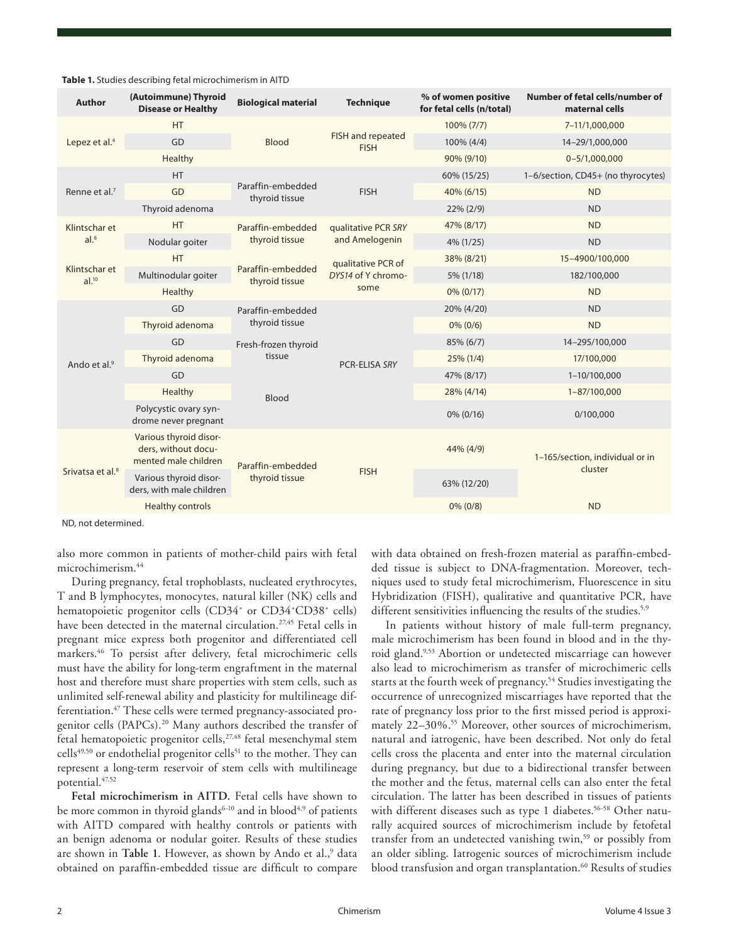| <b>Author</b>                      | (Autoimmune) Thyroid<br><b>Disease or Healthy</b>                     | <b>Biological material</b>          | <b>Technique</b>                                 | % of women positive<br>for fetal cells (n/total) | Number of fetal cells/number of<br>maternal cells |
|------------------------------------|-----------------------------------------------------------------------|-------------------------------------|--------------------------------------------------|--------------------------------------------------|---------------------------------------------------|
| Lepez et al. <sup>4</sup>          | <b>HT</b>                                                             | Blood                               | FISH and repeated<br><b>FISH</b>                 | 100% (7/7)                                       | 7-11/1,000,000                                    |
|                                    | GD                                                                    |                                     |                                                  | 100% (4/4)                                       | 14-29/1,000,000                                   |
|                                    | Healthy                                                               |                                     |                                                  | 90% (9/10)                                       | $0 - 5/1,000,000$                                 |
| Renne et al. <sup>7</sup>          | <b>HT</b>                                                             | Paraffin-embedded<br>thyroid tissue | <b>FISH</b>                                      | 60% (15/25)                                      | 1-6/section, CD45+ (no thyrocytes)                |
|                                    | GD                                                                    |                                     |                                                  | 40% (6/15)                                       | <b>ND</b>                                         |
|                                    | Thyroid adenoma                                                       |                                     |                                                  | $22\% (2/9)$                                     | <b>ND</b>                                         |
| Klintschar et<br>al. <sup>6</sup>  | <b>HT</b>                                                             | Paraffin-embedded<br>thyroid tissue | qualitative PCR SRY<br>and Amelogenin            | 47% (8/17)                                       | <b>ND</b>                                         |
|                                    | Nodular goiter                                                        |                                     |                                                  | 4% (1/25)                                        | <b>ND</b>                                         |
| Klintschar et<br>al. <sup>10</sup> | <b>HT</b>                                                             | Paraffin-embedded<br>thyroid tissue | qualitative PCR of<br>DYS14 of Y chromo-<br>some | 38% (8/21)                                       | 15-4900/100,000                                   |
|                                    | Multinodular goiter                                                   |                                     |                                                  | 5% (1/18)                                        | 182/100,000                                       |
|                                    | Healthy                                                               |                                     |                                                  | $0\% (0/17)$                                     | <b>ND</b>                                         |
| Ando et al. <sup>9</sup>           | GD                                                                    | Paraffin-embedded<br>thyroid tissue | PCR-ELISA SRY                                    | 20% (4/20)                                       | <b>ND</b>                                         |
|                                    | Thyroid adenoma                                                       |                                     |                                                  | $0\%$ (0/6)                                      | <b>ND</b>                                         |
|                                    | GD                                                                    | Fresh-frozen thyroid<br>tissue      |                                                  | 85% (6/7)                                        | 14-295/100,000                                    |
|                                    | Thyroid adenoma                                                       |                                     |                                                  | $25\%$ (1/4)                                     | 17/100,000                                        |
|                                    | GD                                                                    | Blood                               |                                                  | 47% (8/17)                                       | 1-10/100,000                                      |
|                                    | Healthy                                                               |                                     |                                                  | 28% (4/14)                                       | 1-87/100,000                                      |
|                                    | Polycystic ovary syn-<br>drome never pregnant                         |                                     |                                                  | $0\% (0/16)$                                     | 0/100,000                                         |
| Srivatsa et al. <sup>8</sup>       | Various thyroid disor-<br>ders, without docu-<br>mented male children | Paraffin-embedded<br>thyroid tissue | <b>FISH</b>                                      | 44% (4/9)                                        | 1-165/section, individual or in<br>cluster        |
|                                    | Various thyroid disor-<br>ders, with male children                    |                                     |                                                  | 63% (12/20)                                      |                                                   |
|                                    | <b>Healthy controls</b>                                               |                                     |                                                  | $0\%$ (0/8)                                      | <b>ND</b>                                         |
|                                    |                                                                       |                                     |                                                  |                                                  |                                                   |

#### **Table 1.** Studies describing fetal microchimerism in AITD

ND, not determined.

also more common in patients of mother-child pairs with fetal microchimerism.44

During pregnancy, fetal trophoblasts, nucleated erythrocytes, T and B lymphocytes, monocytes, natural killer (NK) cells and hematopoietic progenitor cells (CD34<sup>+</sup> or CD34<sup>+</sup>CD38<sup>+</sup> cells) have been detected in the maternal circulation.<sup>27,45</sup> Fetal cells in pregnant mice express both progenitor and differentiated cell markers.46 To persist after delivery, fetal microchimeric cells must have the ability for long-term engraftment in the maternal host and therefore must share properties with stem cells, such as unlimited self-renewal ability and plasticity for multilineage differentiation.<sup>47</sup> These cells were termed pregnancy-associated progenitor cells (PAPCs).20 Many authors described the transfer of fetal hematopoietic progenitor cells,<sup>27,48</sup> fetal mesenchymal stem cells<sup>49,50</sup> or endothelial progenitor cells<sup>51</sup> to the mother. They can represent a long-term reservoir of stem cells with multilineage potential.47,52

**Fetal microchimerism in AITD.** Fetal cells have shown to be more common in thyroid glands<sup>6-10</sup> and in blood<sup>4,9</sup> of patients with AITD compared with healthy controls or patients with an benign adenoma or nodular goiter. Results of these studies are shown in Table 1. However, as shown by Ando et al.,<sup>9</sup> data obtained on paraffin-embedded tissue are difficult to compare

with data obtained on fresh-frozen material as paraffin-embedded tissue is subject to DNA-fragmentation. Moreover, techniques used to study fetal microchimerism, Fluorescence in situ Hybridization (FISH), qualitative and quantitative PCR, have different sensitivities influencing the results of the studies.<sup>5,9</sup>

In patients without history of male full-term pregnancy, male microchimerism has been found in blood and in the thyroid gland.9,53 Abortion or undetected miscarriage can however also lead to microchimerism as transfer of microchimeric cells starts at the fourth week of pregnancy.<sup>54</sup> Studies investigating the occurrence of unrecognized miscarriages have reported that the rate of pregnancy loss prior to the first missed period is approximately 22-30%.<sup>55</sup> Moreover, other sources of microchimerism, natural and iatrogenic, have been described. Not only do fetal cells cross the placenta and enter into the maternal circulation during pregnancy, but due to a bidirectional transfer between the mother and the fetus, maternal cells can also enter the fetal circulation. The latter has been described in tissues of patients with different diseases such as type 1 diabetes.<sup>56-58</sup> Other naturally acquired sources of microchimerism include by fetofetal transfer from an undetected vanishing twin,<sup>59</sup> or possibly from an older sibling. Iatrogenic sources of microchimerism include blood transfusion and organ transplantation.<sup>60</sup> Results of studies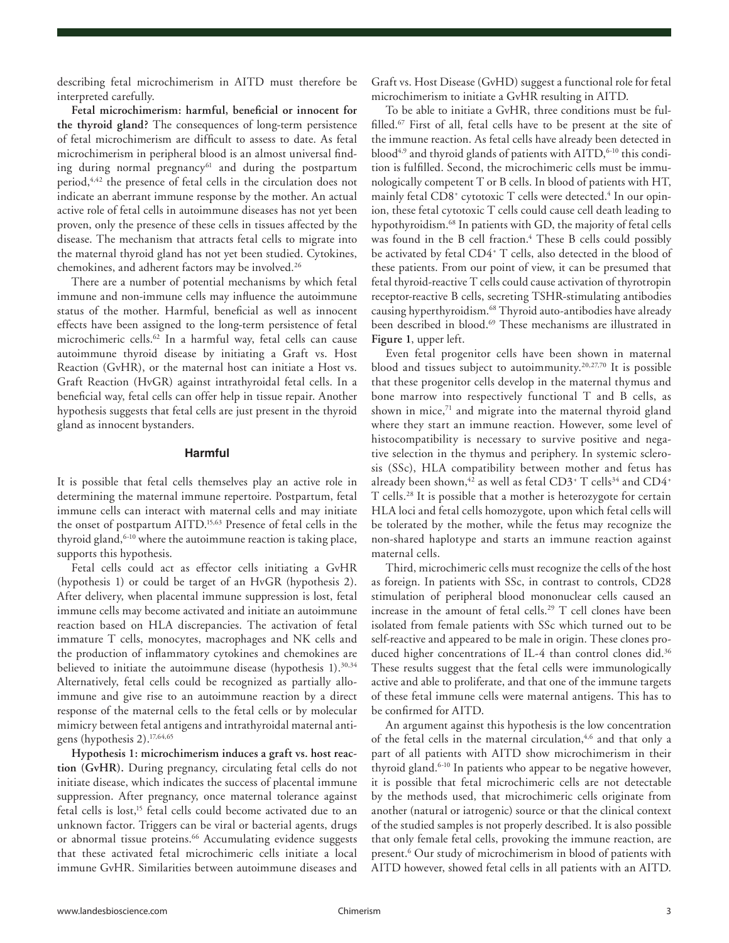describing fetal microchimerism in AITD must therefore be interpreted carefully.

**Fetal microchimerism: harmful, beneficial or innocent for the thyroid gland?** The consequences of long-term persistence of fetal microchimerism are difficult to assess to date. As fetal microchimerism in peripheral blood is an almost universal finding during normal pregnancy<sup>61</sup> and during the postpartum period,<sup>4,42</sup> the presence of fetal cells in the circulation does not indicate an aberrant immune response by the mother. An actual active role of fetal cells in autoimmune diseases has not yet been proven, only the presence of these cells in tissues affected by the disease. The mechanism that attracts fetal cells to migrate into the maternal thyroid gland has not yet been studied. Cytokines, chemokines, and adherent factors may be involved.26

There are a number of potential mechanisms by which fetal immune and non-immune cells may influence the autoimmune status of the mother. Harmful, beneficial as well as innocent effects have been assigned to the long-term persistence of fetal microchimeric cells.<sup>62</sup> In a harmful way, fetal cells can cause autoimmune thyroid disease by initiating a Graft vs. Host Reaction (GvHR), or the maternal host can initiate a Host vs. Graft Reaction (HvGR) against intrathyroidal fetal cells. In a beneficial way, fetal cells can offer help in tissue repair. Another hypothesis suggests that fetal cells are just present in the thyroid gland as innocent bystanders.

# **Harmful**

It is possible that fetal cells themselves play an active role in determining the maternal immune repertoire. Postpartum, fetal immune cells can interact with maternal cells and may initiate the onset of postpartum AITD.15,63 Presence of fetal cells in the thyroid gland, <sup>6-10</sup> where the autoimmune reaction is taking place, supports this hypothesis.

Fetal cells could act as effector cells initiating a GvHR (hypothesis 1) or could be target of an HvGR (hypothesis 2). After delivery, when placental immune suppression is lost, fetal immune cells may become activated and initiate an autoimmune reaction based on HLA discrepancies. The activation of fetal immature T cells, monocytes, macrophages and NK cells and the production of inflammatory cytokines and chemokines are believed to initiate the autoimmune disease (hypothesis 1).<sup>30,34</sup> Alternatively, fetal cells could be recognized as partially alloimmune and give rise to an autoimmune reaction by a direct response of the maternal cells to the fetal cells or by molecular mimicry between fetal antigens and intrathyroidal maternal antigens (hypothesis 2).17,64,65

**Hypothesis 1: microchimerism induces a graft vs. host reaction (GvHR).** During pregnancy, circulating fetal cells do not initiate disease, which indicates the success of placental immune suppression. After pregnancy, once maternal tolerance against fetal cells is lost,<sup>15</sup> fetal cells could become activated due to an unknown factor. Triggers can be viral or bacterial agents, drugs or abnormal tissue proteins.<sup>66</sup> Accumulating evidence suggests that these activated fetal microchimeric cells initiate a local immune GvHR. Similarities between autoimmune diseases and Graft vs. Host Disease (GvHD) suggest a functional role for fetal microchimerism to initiate a GvHR resulting in AITD.

To be able to initiate a GvHR, three conditions must be fulfilled. $67$  First of all, fetal cells have to be present at the site of the immune reaction. As fetal cells have already been detected in blood<sup>4,9</sup> and thyroid glands of patients with AITD,<sup>6-10</sup> this condition is fulfilled. Second, the microchimeric cells must be immunologically competent T or B cells. In blood of patients with HT, mainly fetal CD8<sup>+</sup> cytotoxic T cells were detected.<sup>4</sup> In our opinion, these fetal cytotoxic T cells could cause cell death leading to hypothyroidism.<sup>68</sup> In patients with GD, the majority of fetal cells was found in the B cell fraction.<sup>4</sup> These B cells could possibly be activated by fetal CD4+ T cells, also detected in the blood of these patients. From our point of view, it can be presumed that fetal thyroid-reactive T cells could cause activation of thyrotropin receptor-reactive B cells, secreting TSHR-stimulating antibodies causing hyperthyroidism.68 Thyroid auto-antibodies have already been described in blood.<sup>69</sup> These mechanisms are illustrated in **Figure 1**, upper left.

Even fetal progenitor cells have been shown in maternal blood and tissues subject to autoimmunity.20,27,70 It is possible that these progenitor cells develop in the maternal thymus and bone marrow into respectively functional T and B cells, as shown in mice, $71$  and migrate into the maternal thyroid gland where they start an immune reaction. However, some level of histocompatibility is necessary to survive positive and negative selection in the thymus and periphery. In systemic sclerosis (SSc), HLA compatibility between mother and fetus has already been shown, $^{42}$  as well as fetal CD3+ T cells $^{34}$  and CD4+ T cells.28 It is possible that a mother is heterozygote for certain HLA loci and fetal cells homozygote, upon which fetal cells will be tolerated by the mother, while the fetus may recognize the non-shared haplotype and starts an immune reaction against maternal cells.

Third, microchimeric cells must recognize the cells of the host as foreign. In patients with SSc, in contrast to controls, CD28 stimulation of peripheral blood mononuclear cells caused an increase in the amount of fetal cells.29 T cell clones have been isolated from female patients with SSc which turned out to be self-reactive and appeared to be male in origin. These clones produced higher concentrations of IL-4 than control clones did.<sup>36</sup> These results suggest that the fetal cells were immunologically active and able to proliferate, and that one of the immune targets of these fetal immune cells were maternal antigens. This has to be confirmed for AITD.

An argument against this hypothesis is the low concentration of the fetal cells in the maternal circulation,<sup>4,6</sup> and that only a part of all patients with AITD show microchimerism in their thyroid gland.6-10 In patients who appear to be negative however, it is possible that fetal microchimeric cells are not detectable by the methods used, that microchimeric cells originate from another (natural or iatrogenic) source or that the clinical context of the studied samples is not properly described. It is also possible that only female fetal cells, provoking the immune reaction, are present.<sup>6</sup> Our study of microchimerism in blood of patients with AITD however, showed fetal cells in all patients with an AITD.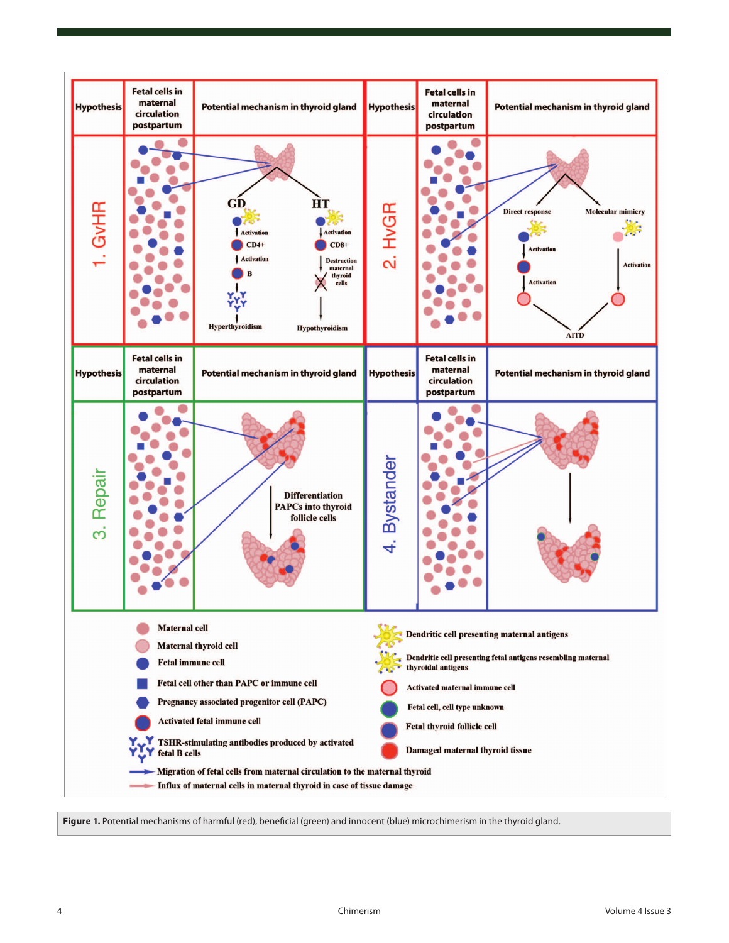

Fiqure 1. Potential mechanisms of harmful (red), beneficial (green) and innocent (blue) microchimerism in the thyroid gland.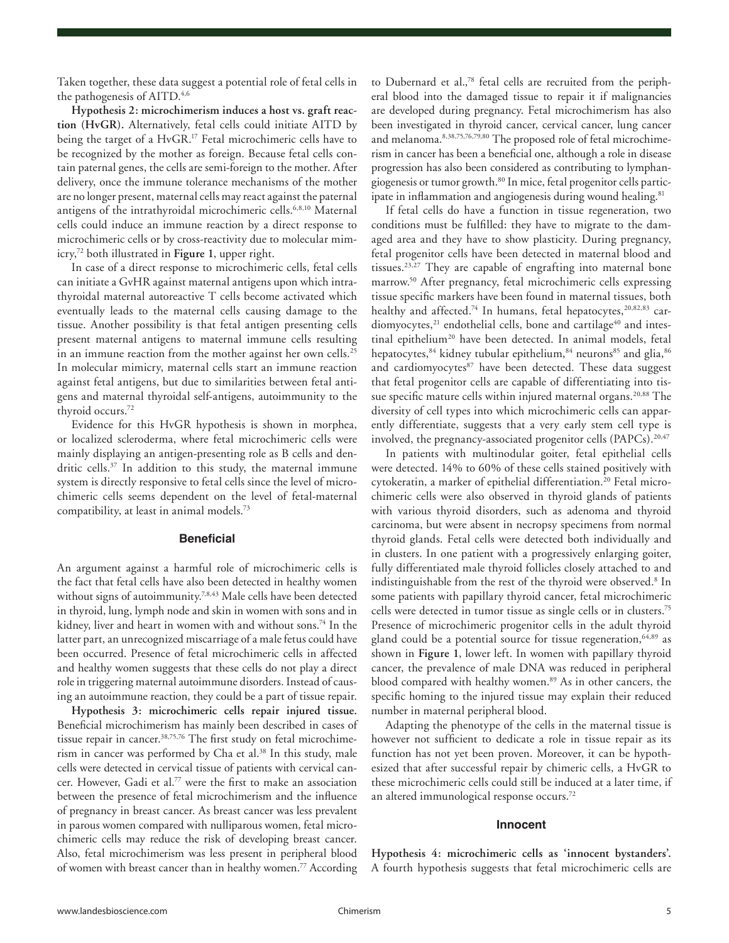Taken together, these data suggest a potential role of fetal cells in the pathogenesis of AITD.<sup>4,6</sup>

**Hypothesis 2: microchimerism induces a host vs. graft reaction (HvGR).** Alternatively, fetal cells could initiate AITD by being the target of a HvGR.<sup>17</sup> Fetal microchimeric cells have to be recognized by the mother as foreign. Because fetal cells contain paternal genes, the cells are semi-foreign to the mother. After delivery, once the immune tolerance mechanisms of the mother are no longer present, maternal cells may react against the paternal antigens of the intrathyroidal microchimeric cells.<sup>6,8,10</sup> Maternal cells could induce an immune reaction by a direct response to microchimeric cells or by cross-reactivity due to molecular mimicry,72 both illustrated in **Figure 1**, upper right.

In case of a direct response to microchimeric cells, fetal cells can initiate a GvHR against maternal antigens upon which intrathyroidal maternal autoreactive T cells become activated which eventually leads to the maternal cells causing damage to the tissue. Another possibility is that fetal antigen presenting cells present maternal antigens to maternal immune cells resulting in an immune reaction from the mother against her own cells.<sup>25</sup> In molecular mimicry, maternal cells start an immune reaction against fetal antigens, but due to similarities between fetal antigens and maternal thyroidal self-antigens, autoimmunity to the thyroid occurs.72

Evidence for this HvGR hypothesis is shown in morphea, or localized scleroderma, where fetal microchimeric cells were mainly displaying an antigen-presenting role as B cells and dendritic cells.<sup>37</sup> In addition to this study, the maternal immune system is directly responsive to fetal cells since the level of microchimeric cells seems dependent on the level of fetal-maternal compatibility, at least in animal models.<sup>73</sup>

#### **Beneficial**

An argument against a harmful role of microchimeric cells is the fact that fetal cells have also been detected in healthy women without signs of autoimmunity.<sup>7,8,43</sup> Male cells have been detected in thyroid, lung, lymph node and skin in women with sons and in kidney, liver and heart in women with and without sons.<sup>74</sup> In the latter part, an unrecognized miscarriage of a male fetus could have been occurred. Presence of fetal microchimeric cells in affected and healthy women suggests that these cells do not play a direct role in triggering maternal autoimmune disorders. Instead of causing an autoimmune reaction, they could be a part of tissue repair.

**Hypothesis 3: microchimeric cells repair injured tissue.** Beneficial microchimerism has mainly been described in cases of tissue repair in cancer.<sup>38,75,76</sup> The first study on fetal microchimerism in cancer was performed by Cha et al.<sup>38</sup> In this study, male cells were detected in cervical tissue of patients with cervical cancer. However, Gadi et al.77 were the first to make an association between the presence of fetal microchimerism and the influence of pregnancy in breast cancer. As breast cancer was less prevalent in parous women compared with nulliparous women, fetal microchimeric cells may reduce the risk of developing breast cancer. Also, fetal microchimerism was less present in peripheral blood of women with breast cancer than in healthy women.<sup>77</sup> According to Dubernard et al.,78 fetal cells are recruited from the peripheral blood into the damaged tissue to repair it if malignancies are developed during pregnancy. Fetal microchimerism has also been investigated in thyroid cancer, cervical cancer, lung cancer and melanoma.<sup>8,38,75,76,79,80</sup> The proposed role of fetal microchimerism in cancer has been a beneficial one, although a role in disease progression has also been considered as contributing to lymphangiogenesis or tumor growth.<sup>80</sup> In mice, fetal progenitor cells participate in inflammation and angiogenesis during wound healing.<sup>81</sup>

If fetal cells do have a function in tissue regeneration, two conditions must be fulfilled: they have to migrate to the damaged area and they have to show plasticity. During pregnancy, fetal progenitor cells have been detected in maternal blood and tissues.23,27 They are capable of engrafting into maternal bone marrow.50 After pregnancy, fetal microchimeric cells expressing tissue specific markers have been found in maternal tissues, both healthy and affected.<sup>74</sup> In humans, fetal hepatocytes,<sup>20,82,83</sup> cardiomyocytes,<sup>21</sup> endothelial cells, bone and cartilage<sup>40</sup> and intestinal epithelium<sup>20</sup> have been detected. In animal models, fetal hepatocytes,<sup>84</sup> kidney tubular epithelium,<sup>84</sup> neurons<sup>85</sup> and glia,<sup>86</sup> and cardiomyocytes<sup>87</sup> have been detected. These data suggest that fetal progenitor cells are capable of differentiating into tissue specific mature cells within injured maternal organs.<sup>20,88</sup> The diversity of cell types into which microchimeric cells can apparently differentiate, suggests that a very early stem cell type is involved, the pregnancy-associated progenitor cells  $(PAPCs)$ .  $20,47$ 

In patients with multinodular goiter, fetal epithelial cells were detected. 14% to 60% of these cells stained positively with cytokeratin, a marker of epithelial differentiation.<sup>20</sup> Fetal microchimeric cells were also observed in thyroid glands of patients with various thyroid disorders, such as adenoma and thyroid carcinoma, but were absent in necropsy specimens from normal thyroid glands. Fetal cells were detected both individually and in clusters. In one patient with a progressively enlarging goiter, fully differentiated male thyroid follicles closely attached to and indistinguishable from the rest of the thyroid were observed.<sup>8</sup> In some patients with papillary thyroid cancer, fetal microchimeric cells were detected in tumor tissue as single cells or in clusters.75 Presence of microchimeric progenitor cells in the adult thyroid gland could be a potential source for tissue regeneration, <sup>64,89</sup> as shown in **Figure 1**, lower left. In women with papillary thyroid cancer, the prevalence of male DNA was reduced in peripheral blood compared with healthy women.<sup>89</sup> As in other cancers, the specific homing to the injured tissue may explain their reduced number in maternal peripheral blood.

Adapting the phenotype of the cells in the maternal tissue is however not sufficient to dedicate a role in tissue repair as its function has not yet been proven. Moreover, it can be hypothesized that after successful repair by chimeric cells, a HvGR to these microchimeric cells could still be induced at a later time, if an altered immunological response occurs.<sup>72</sup>

# **Innocent**

**Hypothesis 4: microchimeric cells as 'innocent bystanders'.** A fourth hypothesis suggests that fetal microchimeric cells are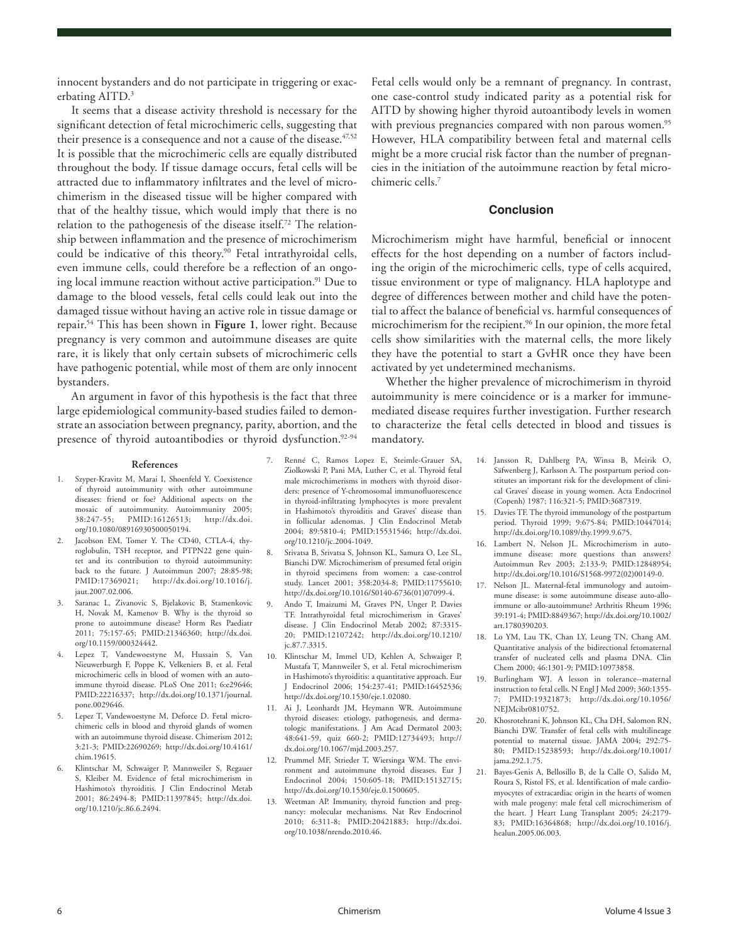innocent bystanders and do not participate in triggering or exacerbating AITD.<sup>3</sup>

It seems that a disease activity threshold is necessary for the significant detection of fetal microchimeric cells, suggesting that their presence is a consequence and not a cause of the disease.  $47,52$ It is possible that the microchimeric cells are equally distributed throughout the body. If tissue damage occurs, fetal cells will be attracted due to inflammatory infiltrates and the level of microchimerism in the diseased tissue will be higher compared with that of the healthy tissue, which would imply that there is no relation to the pathogenesis of the disease itself.72 The relationship between inflammation and the presence of microchimerism could be indicative of this theory.<sup>90</sup> Fetal intrathyroidal cells, even immune cells, could therefore be a reflection of an ongoing local immune reaction without active participation.<sup>91</sup> Due to damage to the blood vessels, fetal cells could leak out into the damaged tissue without having an active role in tissue damage or repair.54 This has been shown in **Figure 1**, lower right. Because pregnancy is very common and autoimmune diseases are quite rare, it is likely that only certain subsets of microchimeric cells have pathogenic potential, while most of them are only innocent bystanders.

An argument in favor of this hypothesis is the fact that three large epidemiological community-based studies failed to demonstrate an association between pregnancy, parity, abortion, and the presence of thyroid autoantibodies or thyroid dysfunction.<sup>92-94</sup>

#### **References**

- 1. Szyper-Kravitz M, Marai I, Shoenfeld Y. Coexistence of thyroid autoimmunity with other autoimmune diseases: friend or foe? Additional aspects on the mosaic of autoimmunity. Autoimmunity 2005; 38:247-55; PMID:16126513; http://dx.doi. org/10.1080/08916930500050194.
- 2. Jacobson EM, Tomer Y. The CD40, CTLA-4, thyroglobulin, TSH receptor, and PTPN22 gene quintet and its contribution to thyroid autoimmunity: back to the future. J Autoimmun 2007; 28:85-98; PMID:17369021; http://dx.doi.org/10.1016/j. jaut.2007.02.006.
- 3. Saranac L, Zivanovic S, Bjelakovic B, Stamenkovic H, Novak M, Kamenov B. Why is the thyroid so prone to autoimmune disease? Horm Res Paediatr 2011; 75:157-65; PMID:21346360; http://dx.doi. org/10.1159/000324442.
- 4. Lepez T, Vandewoestyne M, Hussain S, Van Nieuwerburgh F, Poppe K, Velkeniers B, et al. Fetal microchimeric cells in blood of women with an autoimmune thyroid disease. PLoS One 2011; 6:e29646; PMID:22216337; http://dx.doi.org/10.1371/journal. pone.0029646.
- 5. Lepez T, Vandewoestyne M, Deforce D. Fetal microchimeric cells in blood and thyroid glands of women with an autoimmune thyroid disease. Chimerism 2012; 3:21-3; PMID:22690269; http://dx.doi.org/10.4161/ chim.19615.
- 6. Klintschar M, Schwaiger P, Mannweiler S, Regauer S, Kleiber M. Evidence of fetal microchimerism in Hashimoto's thyroiditis. J Clin Endocrinol Metab 2001; 86:2494-8; PMID:11397845; http://dx.doi. org/10.1210/jc.86.6.2494.

Fetal cells would only be a remnant of pregnancy. In contrast, one case-control study indicated parity as a potential risk for AITD by showing higher thyroid autoantibody levels in women with previous pregnancies compared with non parous women.<sup>95</sup> However, HLA compatibility between fetal and maternal cells might be a more crucial risk factor than the number of pregnancies in the initiation of the autoimmune reaction by fetal microchimeric cells.7

#### **Conclusion**

Microchimerism might have harmful, beneficial or innocent effects for the host depending on a number of factors including the origin of the microchimeric cells, type of cells acquired, tissue environment or type of malignancy. HLA haplotype and degree of differences between mother and child have the potential to affect the balance of beneficial vs. harmful consequences of microchimerism for the recipient.<sup>96</sup> In our opinion, the more fetal cells show similarities with the maternal cells, the more likely they have the potential to start a GvHR once they have been activated by yet undetermined mechanisms.

Whether the higher prevalence of microchimerism in thyroid autoimmunity is mere coincidence or is a marker for immunemediated disease requires further investigation. Further research to characterize the fetal cells detected in blood and tissues is mandatory.

- 7. Renné C, Ramos Lopez E, Steimle-Grauer SA, Ziolkowski P, Pani MA, Luther C, et al. Thyroid fetal male microchimerisms in mothers with thyroid disorders: presence of Y-chromosomal immunofluorescence in thyroid-infiltrating lymphocytes is more prevalent in Hashimoto's thyroiditis and Graves' disease than in follicular adenomas. J Clin Endocrinol Metab 2004; 89:5810-4; PMID:15531546; http://dx.doi. org/10.1210/jc.2004-1049.
- 8. Srivatsa B, Srivatsa S, Johnson KL, Samura O, Lee SL, Bianchi DW. Microchimerism of presumed fetal origin in thyroid specimens from women: a case-control study. Lancet 2001; 358:2034-8; PMID:11755610; http://dx.doi.org/10.1016/S0140-6736(01)07099-4.
- 9. Ando T, Imaizumi M, Graves PN, Unger P, Davies TF. Intrathyroidal fetal microchimerism in Graves' disease. J Clin Endocrinol Metab 2002; 87:3315- 20; PMID:12107242; http://dx.doi.org/10.1210/ jc.87.7.3315.
- 10. Klintschar M, Immel UD, Kehlen A, Schwaiger P, Mustafa T, Mannweiler S, et al. Fetal microchimerism in Hashimoto's thyroiditis: a quantitative approach. Eur J Endocrinol 2006; 154:237-41; PMID:16452536; http://dx.doi.org/10.1530/eje.1.02080.
- 11. Ai J, Leonhardt JM, Heymann WR. Autoimmune thyroid diseases: etiology, pathogenesis, and dermatologic manifestations. J Am Acad Dermatol 2003; 48:641-59, quiz 660-2; PMID:12734493; http:// dx.doi.org/10.1067/mjd.2003.257.
- 12. Prummel MF, Strieder T, Wiersinga WM. The environment and autoimmune thyroid diseases. Eur J Endocrinol 2004; 150:605-18; PMID:15132715; http://dx.doi.org/10.1530/eje.0.1500605.
- 13. Weetman AP. Immunity, thyroid function and pregnancy: molecular mechanisms. Nat Rev Endocrinol 2010; 6:311-8; PMID:20421883; http://dx.doi. org/10.1038/nrendo.2010.46.
- 14. Jansson R, Dahlberg PA, Winsa B, Meirik O, Säfwenberg J, Karlsson A. The postpartum period constitutes an important risk for the development of clinical Graves' disease in young women. Acta Endocrinol (Copenh) 1987; 116:321-5; PMID:3687319.
- 15. Davies TF. The thyroid immunology of the postpartum period. Thyroid 1999; 9:675-84; PMID:10447014; http://dx.doi.org/10.1089/thy.1999.9.675.
- 16. Lambert N, Nelson JL. Microchimerism in autoimmune disease: more questions than answers? Autoimmun Rev 2003; 2:133-9; PMID:12848954; http://dx.doi.org/10.1016/S1568-9972(02)00149-0.
- 17. Nelson JL. Maternal-fetal immunology and autoimmune disease: is some autoimmune disease auto-alloimmune or allo-autoimmune? Arthritis Rheum 1996; 39:191-4; PMID:8849367; http://dx.doi.org/10.1002/ art.1780390203.
- 18. Lo YM, Lau TK, Chan LY, Leung TN, Chang AM. Quantitative analysis of the bidirectional fetomaternal transfer of nucleated cells and plasma DNA. Clin Chem 2000; 46:1301-9; PMID:10973858.
- 19. Burlingham WJ. A lesson in tolerance--maternal instruction to fetal cells. N Engl J Med 2009; 360:1355- 7; PMID:19321873; http://dx.doi.org/10.1056/ NEJMcibr0810752.
- 20. Khosrotehrani K, Johnson KL, Cha DH, Salomon RN, Bianchi DW. Transfer of fetal cells with multilineage potential to maternal tissue. JAMA 2004; 292:75- 80; PMID:15238593; http://dx.doi.org/10.1001/ jama.292.1.75.
- 21. Bayes-Genis A, Bellosillo B, de la Calle O, Salido M, Roura S, Ristol FS, et al. Identification of male cardiomyocytes of extracardiac origin in the hearts of women with male progeny: male fetal cell microchimerism of the heart. J Heart Lung Transplant 2005; 24:2179- 83; PMID:16364868; http://dx.doi.org/10.1016/j. healun.2005.06.003.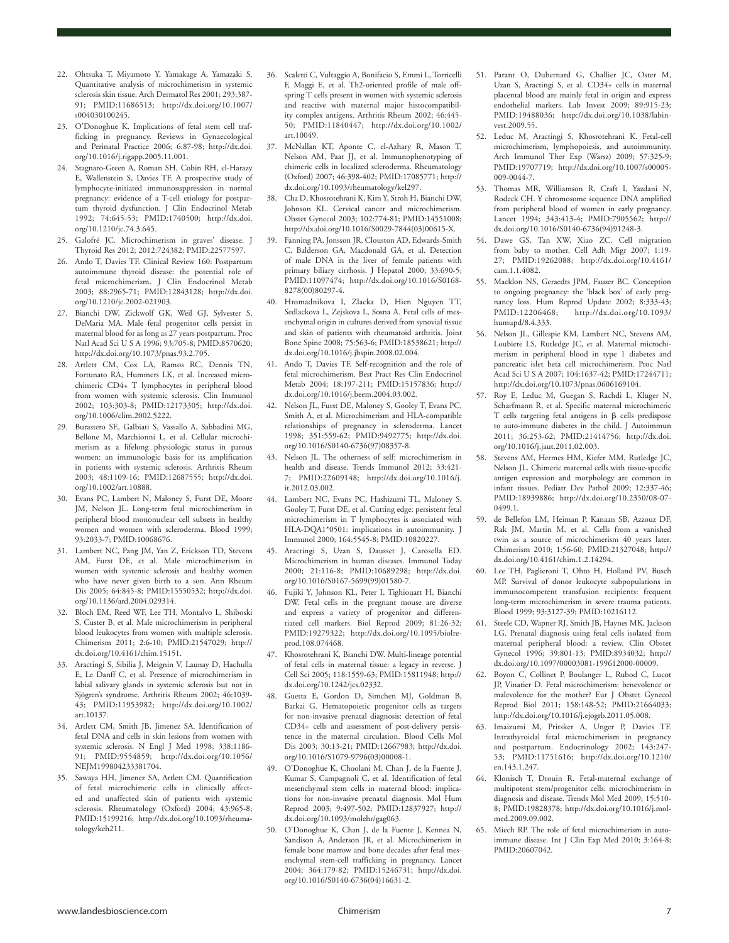- 22. Ohtsuka T, Miyamoto Y, Yamakage A, Yamazaki S. Quantitative analysis of microchimerism in systemic sclerosis skin tissue. Arch Dermatol Res 2001; 293:387- 91; PMID:11686513; http://dx.doi.org/10.1007/ s004030100245.
- 23. O'Donoghue K. Implications of fetal stem cell trafficking in pregnancy. Reviews in Gynaecological and Perinatal Practice 2006; 6:87-98; http://dx.doi. org/10.1016/j.rigapp.2005.11.001.
- 24. Stagnaro-Green A, Roman SH, Cobin RH, el-Harazy E, Wallenstein S, Davies TF. A prospective study of lymphocyte-initiated immunosuppression in normal pregnancy: evidence of a T-cell etiology for postpartum thyroid dysfunction. J Clin Endocrinol Metab 1992; 74:645-53; PMID:1740500; http://dx.doi. org/10.1210/jc.74.3.645.
- 25. Galofré JC. Microchimerism in graves' disease. J Thyroid Res 2012; 2012:724382; PMID:22577597.
- 26. Ando T, Davies TF. Clinical Review 160: Postpartum autoimmune thyroid disease: the potential role of fetal microchimerism. J Clin Endocrinol Metab 2003; 88:2965-71; PMID:12843128; http://dx.doi. org/10.1210/jc.2002-021903.
- 27. Bianchi DW, Zickwolf GK, Weil GJ, Sylvester S, DeMaria MA. Male fetal progenitor cells persist in maternal blood for as long as 27 years postpartum. Proc Natl Acad Sci U S A 1996; 93:705-8; PMID:8570620; http://dx.doi.org/10.1073/pnas.93.2.705.
- 28. Artlett CM, Cox LA, Ramos RC, Dennis TN, Fortunato RA, Hummers LK, et al. Increased microchimeric CD4+ T lymphocytes in peripheral blood from women with systemic sclerosis. Clin Immunol 2002; 103:303-8; PMID:12173305; http://dx.doi. org/10.1006/clim.2002.5222.
- 29. Burastero SE, Galbiati S, Vassallo A, Sabbadini MG, Bellone M, Marchionni L, et al. Cellular microchimerism as a lifelong physiologic status in parous women: an immunologic basis for its amplification in patients with systemic sclerosis. Arthritis Rheum 2003; 48:1109-16; PMID:12687555; http://dx.doi. org/10.1002/art.10888.
- 30. Evans PC, Lambert N, Maloney S, Furst DE, Moore JM, Nelson JL. Long-term fetal microchimerism in peripheral blood mononuclear cell subsets in healthy women and women with scleroderma. Blood 1999; 93:2033-7; PMID:10068676.
- 31. Lambert NC, Pang JM, Yan Z, Erickson TD, Stevens AM, Furst DE, et al. Male microchimerism in women with systemic sclerosis and healthy women who have never given birth to a son. Ann Rheum Dis 2005; 64:845-8; PMID:15550532; http://dx.doi. org/10.1136/ard.2004.029314.
- 32. Bloch EM, Reed WF, Lee TH, Montalvo L, Shiboski S, Custer B, et al. Male microchimerism in peripheral blood leukocytes from women with multiple sclerosis. Chimerism 2011; 2:6-10; PMID:21547029; http:// dx.doi.org/10.4161/chim.15151.
- 33. Aractingi S, Sibilia J, Meignin V, Launay D, Hachulla E, Le Danff C, et al. Presence of microchimerism in labial salivary glands in systemic sclerosis but not in Sjögren's syndrome. Arthritis Rheum 2002; 46:1039- 43; PMID:11953982; http://dx.doi.org/10.1002/ art.10137.
- 34. Artlett CM, Smith JB, Jimenez SA. Identification of fetal DNA and cells in skin lesions from women with systemic sclerosis. N Engl J Med 1998; 338:1186- 91; PMID:9554859; http://dx.doi.org/10.1056/ NEJM199804233381704.
- 35. Sawaya HH, Jimenez SA, Artlett CM. Quantification of fetal microchimeric cells in clinically affected and unaffected skin of patients with systemic sclerosis. Rheumatology (Oxford) 2004; 43:965-8; PMID:15199216; http://dx.doi.org/10.1093/rheumatology/keh211.
- 36. Scaletti C, Vultaggio A, Bonifacio S, Emmi L, Torricelli F, Maggi E, et al. Th2-oriented profile of male offspring T cells present in women with systemic sclerosis and reactive with maternal major histocompatibility complex antigens. Arthritis Rheum 2002; 46:445- 50; PMID:11840447; http://dx.doi.org/10.1002/ art.10049.
- 37. McNallan KT, Aponte C, el-Azhary R, Mason T, Nelson AM, Paat JJ, et al. Immunophenotyping of chimeric cells in localized scleroderma. Rheumatology (Oxford) 2007; 46:398-402; PMID:17085771; http:// dx.doi.org/10.1093/rheumatology/kel297.
- 38. Cha D, Khosrotehrani K, Kim Y, Stroh H, Bianchi DW, Johnson KL. Cervical cancer and microchimerism. Obstet Gynecol 2003; 102:774-81; PMID:14551008; http://dx.doi.org/10.1016/S0029-7844(03)00615-X.
- 39. Fanning PA, Jonsson JR, Clouston AD, Edwards-Smith C, Balderson GA, Macdonald GA, et al. Detection of male DNA in the liver of female patients with primary biliary cirrhosis. J Hepatol 2000; 33:690-5; PMID:11097474; http://dx.doi.org/10.1016/S0168- 8278(00)80297-4.
- 40. Hromadnikova I, Zlacka D, Hien Nguyen TT, Sedlackova L, Zejskova L, Sosna A. Fetal cells of mesenchymal origin in cultures derived from synovial tissue and skin of patients with rheumatoid arthritis. Joint Bone Spine 2008; 75:563-6; PMID:18538621; http:// dx.doi.org/10.1016/j.jbspin.2008.02.004.
- 41. Ando T, Davies TF. Self-recognition and the role of fetal microchimerism. Best Pract Res Clin Endocrinol Metab 2004; 18:197-211; PMID:15157836; http:// dx.doi.org/10.1016/j.beem.2004.03.002.
- 42. Nelson JL, Furst DE, Maloney S, Gooley T, Evans PC, Smith A, et al. Microchimerism and HLA-compatible relationships of pregnancy in scleroderma. Lancet 1998; 351:559-62; PMID:9492775; http://dx.doi. org/10.1016/S0140-6736(97)08357-8.
- 43. Nelson JL. The otherness of self: microchimerism in health and disease. Trends Immunol 2012; 33:421- 7; PMID:22609148; http://dx.doi.org/10.1016/j. it.2012.03.002.
- 44. Lambert NC, Evans PC, Hashizumi TL, Maloney S, Gooley T, Furst DE, et al. Cutting edge: persistent fetal microchimerism in T lymphocytes is associated with HLA-DQA1\*0501: implications in autoimmunity. J Immunol 2000; 164:5545-8; PMID:10820227.
- 45. Aractingi S, Uzan S, Dausset J, Carosella ED. Microchimerism in human diseases. Immunol Today 2000; 21:116-8; PMID:10689298; http://dx.doi. org/10.1016/S0167-5699(99)01580-7.
- 46. Fujiki Y, Johnson KL, Peter I, Tighiouart H, Bianchi DW. Fetal cells in the pregnant mouse are diverse and express a variety of progenitor and differentiated cell markers. Biol Reprod 2009; 81:26-32; PMID:19279322; http://dx.doi.org/10.1095/biolreprod.108.074468.
- 47. Khosrotehrani K, Bianchi DW. Multi-lineage potential of fetal cells in maternal tissue: a legacy in reverse. J Cell Sci 2005; 118:1559-63; PMID:15811948; http:// dx.doi.org/10.1242/jcs.02332.
- 48. Guetta E, Gordon D, Simchen MJ, Goldman B, Barkai G. Hematopoietic progenitor cells as targets for non-invasive prenatal diagnosis: detection of fetal CD34+ cells and assessment of post-delivery persistence in the maternal circulation. Blood Cells Mol Dis 2003; 30:13-21; PMID:12667983; http://dx.doi. org/10.1016/S1079-9796(03)00008-1.
- 49. O'Donoghue K, Choolani M, Chan J, de la Fuente J, Kumar S, Campagnoli C, et al. Identification of fetal mesenchymal stem cells in maternal blood: implications for non-invasive prenatal diagnosis. Mol Hum Reprod 2003; 9:497-502; PMID:12837927; http:// dx.doi.org/10.1093/molehr/gag063.
- 50. O'Donoghue K, Chan J, de la Fuente J, Kennea N, Sandison A, Anderson JR, et al. Microchimerism in female bone marrow and bone decades after fetal mesenchymal stem-cell trafficking in pregnancy. Lancet 2004; 364:179-82; PMID:15246731; http://dx.doi. org/10.1016/S0140-6736(04)16631-2.
- 51. Parant O, Dubernard G, Challier JC, Oster M, Uzan S, Aractingi S, et al. CD34+ cells in maternal placental blood are mainly fetal in origin and express endothelial markers. Lab Invest 2009; 89:915-23; PMID:19488036; http://dx.doi.org/10.1038/labinvest.2009.55.
- 52. Leduc M, Aractingi S, Khosrotehrani K. Fetal-cell microchimerism, lymphopoiesis, and autoimmunity. Arch Immunol Ther Exp (Warsz) 2009; 57:325-9; PMID:19707719; http://dx.doi.org/10.1007/s00005- 009-0044-7.
- 53. Thomas MR, Williamson R, Craft I, Yazdani N, Rodeck CH. Y chromosome sequence DNA amplified from peripheral blood of women in early pregnancy. Lancet 1994; 343:413-4; PMID:7905562; http:// dx.doi.org/10.1016/S0140-6736(94)91248-3.
- 54. Dawe GS, Tan XW, Xiao ZC. Cell migration from baby to mother. Cell Adh Migr 2007; 1:19- 27; PMID:19262088; http://dx.doi.org/10.4161/ cam.1.1.4082.
- 55. Macklon NS, Geraedts JPM, Fauser BC. Conception to ongoing pregnancy: the 'black box' of early pregnancy loss. Hum Reprod Update 2002; 8:333-43; PMID:12206468; http://dx.doi.org/10.1093/ humupd/8.4.333.
- 56. Nelson JL, Gillespie KM, Lambert NC, Stevens AM, Loubiere LS, Rutledge JC, et al. Maternal microchimerism in peripheral blood in type 1 diabetes and pancreatic islet beta cell microchimerism. Proc Natl Acad Sci U S A 2007; 104:1637-42; PMID:17244711; http://dx.doi.org/10.1073/pnas.0606169104.
- 57. Roy E, Leduc M, Guegan S, Rachdi L, Kluger N, Scharfmann R, et al. Specific maternal microchimeric T cells targeting fetal antigens in β cells predispose to auto-immune diabetes in the child. J Autoimmun 2011; 36:253-62; PMID:21414756; http://dx.doi. org/10.1016/j.jaut.2011.02.003.
- 58. Stevens AM, Hermes HM, Kiefer MM, Rutledge JC, Nelson JL. Chimeric maternal cells with tissue-specific antigen expression and morphology are common in infant tissues. Pediatr Dev Pathol 2009; 12:337-46; PMID:18939886; http://dx.doi.org/10.2350/08-07- 0499.1.
- 59. de Bellefon LM, Heiman P, Kanaan SB, Azzouz DF, Rak JM, Martin M, et al. Cells from a vanished twin as a source of microchimerism 40 years later. Chimerism 2010; 1:56-60; PMID:21327048; http:// dx.doi.org/10.4161/chim.1.2.14294.
- 60. Lee TH, Paglieroni T, Ohto H, Holland PV, Busch MP. Survival of donor leukocyte subpopulations in immunocompetent transfusion recipients: frequent long-term microchimerism in severe trauma patients. Blood 1999; 93:3127-39; PMID:10216112.
- 61. Steele CD, Wapner RJ, Smith JB, Haynes MK, Jackson LG. Prenatal diagnosis using fetal cells isolated from maternal peripheral blood: a review. Clin Obstet Gynecol 1996; 39:801-13; PMID:8934032; http:// dx.doi.org/10.1097/00003081-199612000-00009.
- 62. Boyon C, Collinet P, Boulanger L, Rubod C, Lucot JP, Vinatier D. Fetal microchimerism: benevolence or malevolence for the mother? Eur J Obstet Gynecol Reprod Biol 2011; 158:148-52; PMID:21664033; http://dx.doi.org/10.1016/j.ejogrb.2011.05.008.
- 63. Imaizumi M, Pritsker A, Unger P, Davies TF. Intrathyroidal fetal microchimerism in pregnancy and postpartum. Endocrinology 2002; 143:247- 53; PMID:11751616; http://dx.doi.org/10.1210/ en.143.1.247.
- 64. Klonisch T, Drouin R. Fetal-maternal exchange of multipotent stem/progenitor cells: microchimerism in diagnosis and disease. Trends Mol Med 2009; 15:510- 8; PMID:19828378; http://dx.doi.org/10.1016/j.molmed.2009.09.002.
- 65. Miech RP. The role of fetal microchimerism in autoimmune disease. Int J Clin Exp Med 2010; 3:164-8; PMID:20607042.